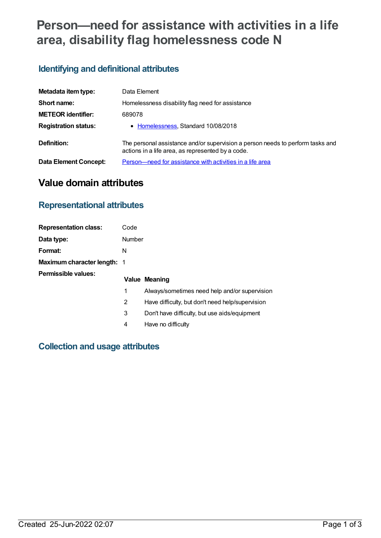# **Person—need for assistance with activities in a life area, disability flag homelessness code N**

# **Identifying and definitional attributes**

| Metadata item type:          | Data Element                                                                                                                        |
|------------------------------|-------------------------------------------------------------------------------------------------------------------------------------|
| Short name:                  | Homelessness disability flag need for assistance                                                                                    |
| <b>METEOR identifier:</b>    | 689078                                                                                                                              |
| <b>Registration status:</b>  | • Homelessness, Standard 10/08/2018                                                                                                 |
| Definition:                  | The personal assistance and/or supervision a person needs to perform tasks and<br>actions in a life area, as represented by a code. |
| <b>Data Element Concept:</b> | Person—need for assistance with activities in a life area                                                                           |

# **Value domain attributes**

# **Representational attributes**

| <b>Representation class:</b>       | Code   |                                                  |
|------------------------------------|--------|--------------------------------------------------|
| Data type:                         | Number |                                                  |
| Format:                            | N      |                                                  |
| <b>Maximum character length: 1</b> |        |                                                  |
| <b>Permissible values:</b>         |        | Value Meaning                                    |
|                                    | 1      | Always/sometimes need help and/or supervision    |
|                                    | 2      | Have difficulty, but don't need help/supervision |
|                                    | 3      | Don't have difficulty, but use aids/equipment    |
|                                    | 4      | Have no difficulty                               |

### **Collection and usage attributes**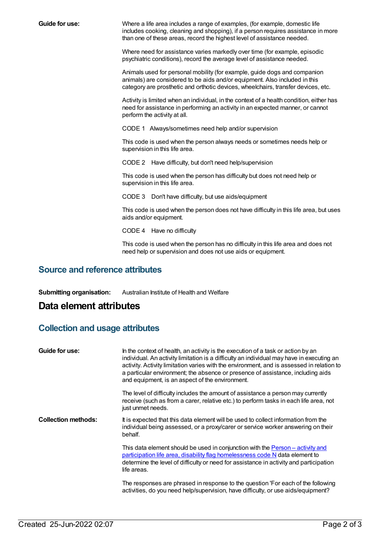**Guide for use:** Where a life area includes a range of examples, (for example, domestic life includes cooking, cleaning and shopping), if a person requires assistance in more than one of these areas, record the highest level of assistance needed.

> Where need for assistance varies markedly over time (for example, episodic psychiatric conditions), record the average level of assistance needed.

Animals used for personal mobility (for example, guide dogs and companion animals) are considered to be aids and/or equipment. Also included in this category are prosthetic and orthotic devices, wheelchairs, transfer devices, etc.

Activity is limited when an individual, in the context of a health condition, either has need for assistance in performing an activity in an expected manner, or cannot perform the activity at all.

CODE 1 Always/sometimes need help and/or supervision

This code is used when the person always needs or sometimes needs help or supervision in this life area.

CODE 2 Have difficulty, but don't need help/supervision

This code is used when the person has difficulty but does not need help or supervision in this life area.

CODE 3 Don't have difficulty, but use aids/equipment

This code is used when the person does not have difficulty in this life area, but uses aids and/or equipment.

CODE 4 Have no difficulty

This code is used when the person has no difficulty in this life area and does not need help or supervision and does not use aids or equipment.

#### **Source and reference attributes**

**Submitting organisation:** Australian Institute of Health and Welfare

# **Data element attributes**

#### **Collection and usage attributes**

| Guide for use:             | In the context of health, an activity is the execution of a task or action by an<br>individual. An activity limitation is a difficulty an individual may have in executing an<br>activity. Activity limitation varies with the environment, and is assessed in relation to<br>a particular environment; the absence or presence of assistance, including aids<br>and equipment, is an aspect of the environment. |
|----------------------------|------------------------------------------------------------------------------------------------------------------------------------------------------------------------------------------------------------------------------------------------------------------------------------------------------------------------------------------------------------------------------------------------------------------|
|                            | The level of difficulty includes the amount of assistance a person may currently<br>receive (such as from a carer, relative etc.) to perform tasks in each life area, not<br>just unmet needs.                                                                                                                                                                                                                   |
| <b>Collection methods:</b> | It is expected that this data element will be used to collect information from the<br>individual being assessed, or a proxy/carer or service worker answering on their<br>behalf.                                                                                                                                                                                                                                |
|                            | This data element should be used in conjunction with the <b>Person</b> - activity and<br>participation life area, disability flag homelessness code N data element to<br>determine the level of difficulty or need for assistance in activity and participation<br>life areas.                                                                                                                                   |
|                            | The responses are phrased in response to the question 'For each of the following<br>activities, do you need help/supervision, have difficulty, or use aids/equipment?                                                                                                                                                                                                                                            |